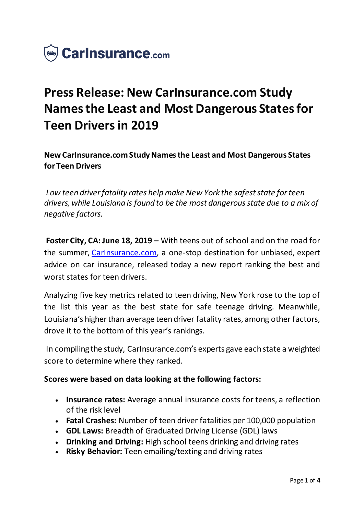

# **Press Release: New CarInsurance.com Study Names the Least and Most Dangerous States for Teen Drivers in 2019**

**New CarInsurance.com Study Names the Least and Most Dangerous States for Teen Drivers**

*Low teen driver fatality rates help make New York the safest state for teen drivers, while Louisiana is found to be the most dangerous state due to a mix of negative factors.*

**Foster City, CA: June 18, 2019 –** With teens out of school and on the road for the summer, [CarInsurance.com](https://www.carinsurance.com/), a one-stop destination for unbiased, expert advice on car insurance, released today a new report ranking the best and worst states for teen drivers.

Analyzing five key metrics related to teen driving, New York rose to the top of the list this year as the best state for safe teenage driving. Meanwhile, Louisiana's higher than average teen driver fatality rates, among other factors, drove it to the bottom of this year's rankings.

In compiling the study, CarInsurance.com's experts gave each state a weighted score to determine where they ranked.

### **Scores were based on data looking at the following factors:**

- **Insurance rates:** Average annual insurance costs for teens, a reflection of the risk level
- **Fatal Crashes:** Number of teen driver fatalities per 100,000 population
- **GDL Laws:** Breadth of Graduated Driving License (GDL) laws
- **Drinking and Driving:** High school teens drinking and driving rates
- **Risky Behavior:** Teen emailing/texting and driving rates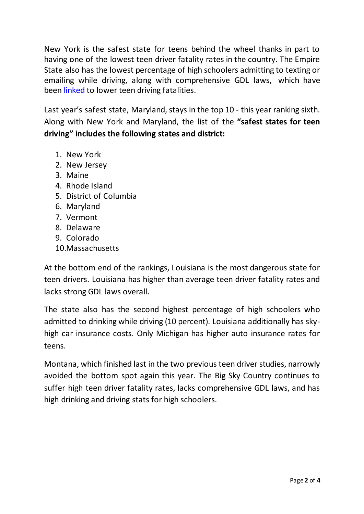New York is the safest state for teens behind the wheel thanks in part to having one of the lowest teen driver fatality rates in the country. The Empire State also has the lowest percentage of high schoolers admitting to texting or emailing while driving, along with comprehensive GDL laws, which have been [linked](https://www.nih.gov/news-events/news-releases/graduated-drivers-licensing-programs-reduce-fatal-teen-crashes) to lower teen driving fatalities.

Last year's safest state, Maryland, stays in the top 10 - this year ranking sixth. Along with New York and Maryland, the list of the **"safest states for teen driving" includes the following states and district:**

- 1. New York
- 2. New Jersey
- 3. Maine
- 4. Rhode Island
- 5. District of Columbia
- 6. Maryland
- 7. Vermont
- 8. Delaware
- 9. Colorado
- 10.Massachusetts

At the bottom end of the rankings, Louisiana is the most dangerous state for teen drivers. Louisiana has higher than average teen driver fatality rates and lacks strong GDL laws overall.

The state also has the second highest percentage of high schoolers who admitted to drinking while driving (10 percent). Louisiana additionally has skyhigh car insurance costs. Only Michigan has higher auto insurance rates for teens.

Montana, which finished last in the two previous teen driver studies, narrowly avoided the bottom spot again this year. The Big Sky Country continues to suffer high teen driver fatality rates, lacks comprehensive GDL laws, and has high drinking and driving stats for high schoolers.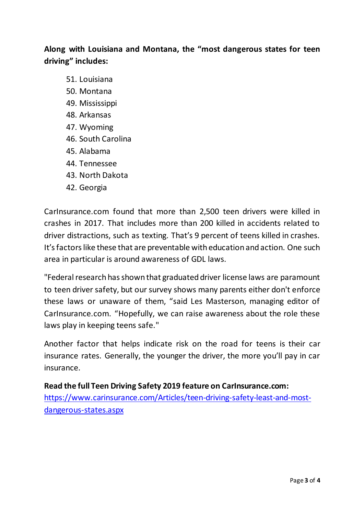## **Along with Louisiana and Montana, the "most dangerous states for teen driving" includes:**

- 51. Louisiana
- 50. Montana
- 49. Mississippi
- 48. Arkansas
- 47. Wyoming
- 46. South Carolina
- 45. Alabama
- 44. Tennessee
- 43. North Dakota
- 42. Georgia

CarInsurance.com found that more than 2,500 teen drivers were killed in crashes in 2017. That includes more than 200 killed in accidents related to driver distractions, such as texting. That's 9 percent of teens killed in crashes. It's factors like these that are preventable with education and action. One such area in particular is around awareness of GDL laws.

"Federal research has shown that graduated driver license laws are paramount to teen driver safety, but our survey shows many parents either don't enforce these laws or unaware of them, "said Les Masterson, managing editor of CarInsurance.com. "Hopefully, we can raise awareness about the role these laws play in keeping teens safe."

Another factor that helps indicate risk on the road for teens is their car insurance rates. Generally, the younger the driver, the more you'll pay in car insurance.

**Read the full Teen Driving Safety 2019 feature on CarInsurance.com:** [https://www.carinsurance.com/Articles/teen-driving-safety-least-and-most](https://www.carinsurance.com/Articles/teen-driving-safety-least-and-most-dangerous-states.aspx)[dangerous-states.aspx](https://www.carinsurance.com/Articles/teen-driving-safety-least-and-most-dangerous-states.aspx)